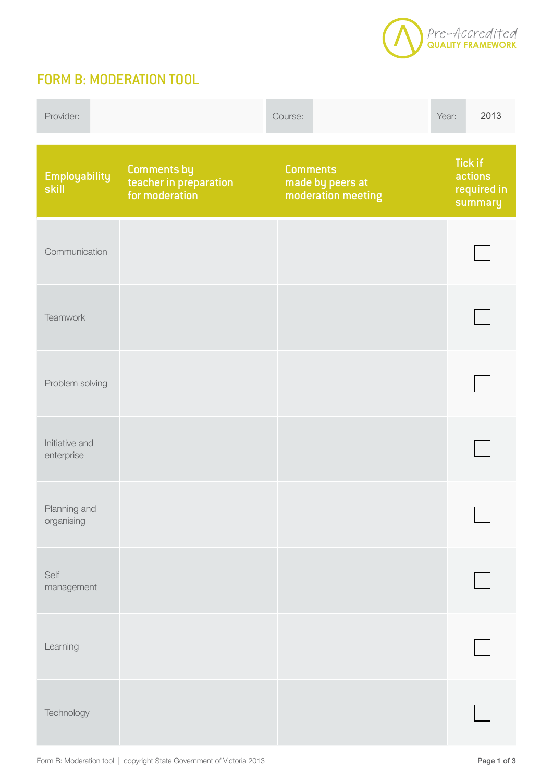

## FORM B: MODERATION TOOL

| Provider:                    |                                                         | Course:                                                   | 2013<br>Year:                                       |
|------------------------------|---------------------------------------------------------|-----------------------------------------------------------|-----------------------------------------------------|
| Employability<br> skill      | Comments by<br>teacher in preparation<br>for moderation | <b>Comments</b><br>made by peers at<br>moderation meeting | <b>Tick if</b><br>actions<br>required in<br>summary |
| Communication                |                                                         |                                                           |                                                     |
| Teamwork                     |                                                         |                                                           |                                                     |
| Problem solving              |                                                         |                                                           |                                                     |
| Initiative and<br>enterprise |                                                         |                                                           |                                                     |
| Planning and<br>organising   |                                                         |                                                           |                                                     |
| Self<br>management           |                                                         |                                                           |                                                     |
| Learning                     |                                                         |                                                           |                                                     |
| Technology                   |                                                         |                                                           |                                                     |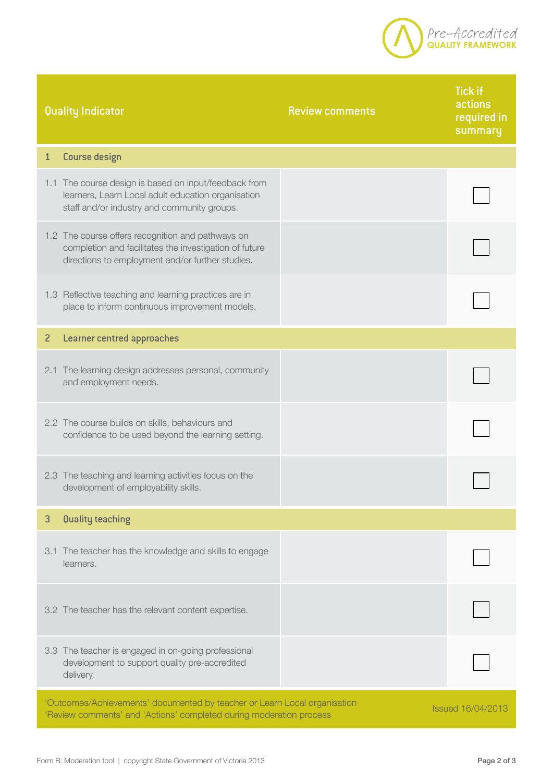

| Quality Indicator |                                                                                                                                                                 | <b>Review comments</b> | <b>Tick if</b><br>actions<br>required in<br>summary |
|-------------------|-----------------------------------------------------------------------------------------------------------------------------------------------------------------|------------------------|-----------------------------------------------------|
| $\mathbf{1}$      | Course design                                                                                                                                                   |                        |                                                     |
|                   | 1.1 The course design is based on input/feedback from<br>learners, Learn Local adult education organisation<br>staff and/or industry and community groups.      |                        |                                                     |
|                   | 1.2 The course offers recognition and pathways on<br>completion and facilitates the investigation of future<br>directions to employment and/or further studies. |                        |                                                     |
|                   | 1.3 Reflective teaching and learning practices are in<br>place to inform continuous improvement models.                                                         |                        |                                                     |
| $\overline{c}$    | <b>Learner centred approaches</b>                                                                                                                               |                        |                                                     |
|                   | 2.1 The learning design addresses personal, community<br>and employment needs.                                                                                  |                        |                                                     |
|                   | 2.2 The course builds on skills, behaviours and<br>confidence to be used beyond the learning setting.                                                           |                        |                                                     |
|                   | 2.3 The teaching and learning activities focus on the<br>development of employability skills.                                                                   |                        |                                                     |
| 3                 | <b>Quality teaching</b>                                                                                                                                         |                        |                                                     |
|                   | 3.1 The teacher has the knowledge and skills to engage<br>learners.                                                                                             |                        |                                                     |
|                   | 3.2 The teacher has the relevant content expertise.                                                                                                             |                        |                                                     |
|                   | 3.3 The teacher is engaged in on-going professional<br>development to support quality pre-accredited<br>delivery.                                               |                        |                                                     |
|                   | 'Outcomes/Achievements' documented by teacher or Learn Local organisation<br>'Review comments' and 'Actions' completed during moderation process                |                        | <b>Issued 16/04/2013</b>                            |